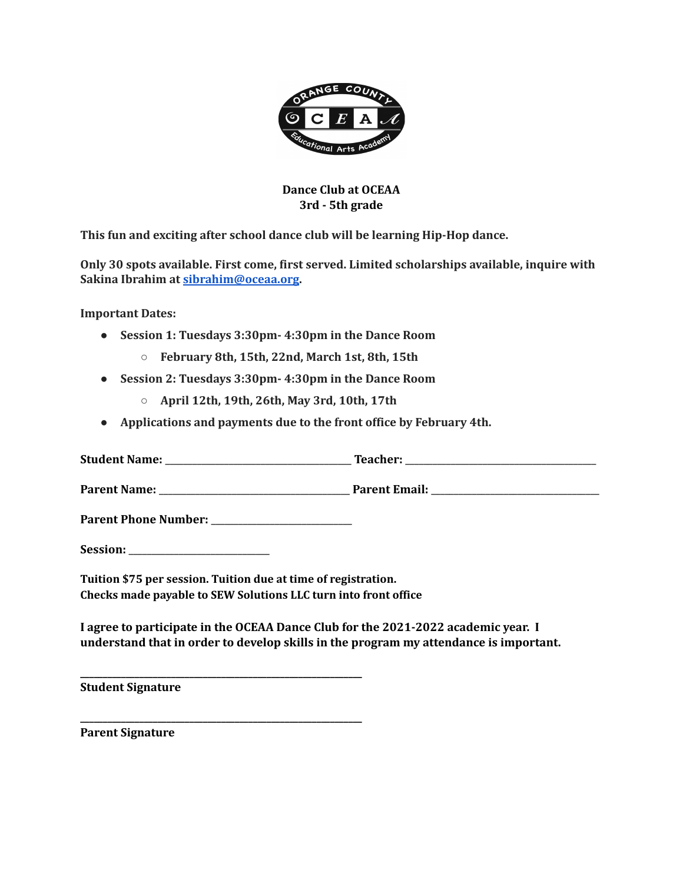

## **Dance Club at OCEAA 3rd - 5th grade**

**This fun and exciting after school dance club will be learning Hip-Hop dance.**

**Only 30 spots available. First come, first served. Limited scholarships available, inquire with Sakina Ibrahim at [sibrahim@oceaa.org](mailto:sibrahim@oceaa.org).**

**Important Dates:**

- **● Session 1: Tuesdays 3:30pm- 4:30pm in the Dance Room**
	- **○ February 8th, 15th, 22nd, March 1st, 8th, 15th**
- **● Session 2: Tuesdays 3:30pm- 4:30pm in the Dance Room**
	- **○ April 12th, 19th, 26th, May 3rd, 10th, 17th**
- **● Applications and payments due to the front office by February 4th.**

| <b>Student Name:</b>        | Teacher:             |
|-----------------------------|----------------------|
| <b>Parent Name:</b>         | <b>Parent Email:</b> |
| <b>Parent Phone Number:</b> |                      |

Session:

**Tuition \$75 per session. Tuition due at time of registration. Checks made payable to SEW Solutions LLC turn into front office**

**\_\_\_\_\_\_\_\_\_\_\_\_\_\_\_\_\_\_\_\_\_\_\_\_\_\_\_\_\_\_\_\_\_\_\_\_\_\_\_\_\_\_\_\_\_\_\_\_\_\_\_\_\_\_\_\_\_\_\_\_\_\_**

**\_\_\_\_\_\_\_\_\_\_\_\_\_\_\_\_\_\_\_\_\_\_\_\_\_\_\_\_\_\_\_\_\_\_\_\_\_\_\_\_\_\_\_\_\_\_\_\_\_\_\_\_\_\_\_\_\_\_\_\_\_\_**

**I agree to participate in the OCEAA Dance Club for the 2021-2022 academic year. I understand that in order to develop skills in the program my attendance is important.**

**Student Signature**

**Parent Signature**